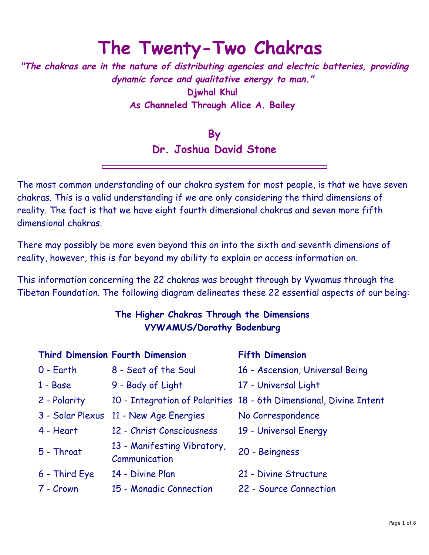# **The Twenty-Two Chakras**

**"The chakras are in the nature of distributing agencies and electric batteries, providing dynamic force and qualitative energy to man." Djwhal Khul As Channeled Through Alice A. Bailey** 

> **By Dr. Joshua David Stone**

The most common understanding of our chakra system for most people, is that we have seven chakras. This is a valid understanding if we are only considering the third dimensions of reality. The fact is that we have eight fourth dimensional chakras and seven more fifth dimensional chakras.

There may possibly be more even beyond this on into the sixth and seventh dimensions of reality, however, this is far beyond my ability to explain or access information on.

This information concerning the 22 chakras was brought through by Vywamus through the Tibetan Foundation. The following diagram delineates these 22 essential aspects of our being:

## **The Higher Chakras Through the Dimensions VYWAMUS/Dorothy Bodenburg**

|                  | <b>Third Dimension Fourth Dimension</b>      | <b>Fifth Dimension</b>                                             |  |  |
|------------------|----------------------------------------------|--------------------------------------------------------------------|--|--|
| $0 - Earth$      | 8 - Seat of the Soul                         | 16 - Ascension, Universal Being                                    |  |  |
| $1 - Base$       | 9 - Body of Light                            | 17 - Universal Light                                               |  |  |
| 2 - Polarity     |                                              | 10 - Integration of Polarities 18 - 6th Dimensional, Divine Intent |  |  |
| 3 - Solar Plexus | 11 - New Age Energies                        | No Correspondence                                                  |  |  |
| 4 - Heart        | 12 - Christ Consciousness                    | 19 - Universal Energy                                              |  |  |
| 5 - Throat       | 13 - Manifesting Vibratory,<br>Communication | 20 - Beingness                                                     |  |  |
| 6 - Third Eye    | 14 - Divine Plan                             | 21 - Divine Structure                                              |  |  |
| 7 - Crown        | 15 - Monadic Connection                      | 22 - Source Connection                                             |  |  |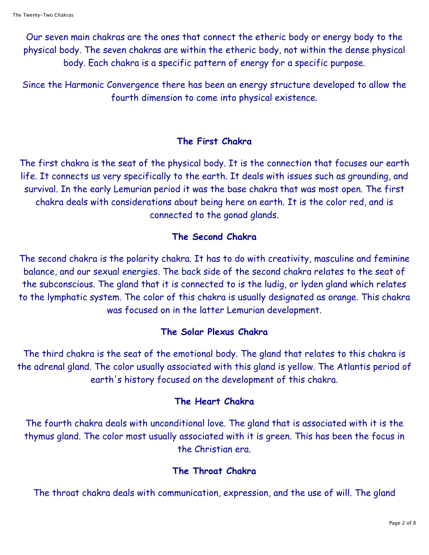Our seven main chakras are the ones that connect the etheric body or energy body to the physical body. The seven chakras are within the etheric body, not within the dense physical body. Each chakra is a specific pattern of energy for a specific purpose.

Since the Harmonic Convergence there has been an energy structure developed to allow the fourth dimension to come into physical existence.

## **The First Chakra**

The first chakra is the seat of the physical body. It is the connection that focuses our earth life. It connects us very specifically to the earth. It deals with issues such as grounding, and survival. In the early Lemurian period it was the base chakra that was most open. The first chakra deals with considerations about being here on earth. It is the color red, and is connected to the gonad glands.

## **The Second Chakra**

The second chakra is the polarity chakra. It has to do with creativity, masculine and feminine balance, and our sexual energies. The back side of the second chakra relates to the seat of the subconscious. The gland that it is connected to is the ludig, or lyden gland which relates to the lymphatic system. The color of this chakra is usually designated as orange. This chakra was focused on in the latter Lemurian development.

## **The Solar Plexus Chakra**

The third chakra is the seat of the emotional body. The gland that relates to this chakra is the adrenal gland. The color usually associated with this gland is yellow. The Atlantis period of earth's history focused on the development of this chakra.

## **The Heart Chakra**

The fourth chakra deals with unconditional love. The gland that is associated with it is the thymus gland. The color most usually associated with it is green. This has been the focus in the Christian era.

## **The Throat Chakra**

The throat chakra deals with communication, expression, and the use of will. The gland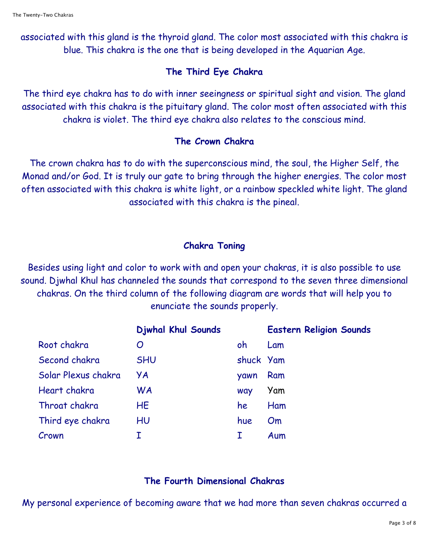associated with this gland is the thyroid gland. The color most associated with this chakra is blue. This chakra is the one that is being developed in the Aquarian Age.

#### **The Third Eye Chakra**

The third eye chakra has to do with inner seeingness or spiritual sight and vision. The gland associated with this chakra is the pituitary gland. The color most often associated with this chakra is violet. The third eye chakra also relates to the conscious mind.

#### **The Crown Chakra**

The crown chakra has to do with the superconscious mind, the soul, the Higher Self, the Monad and/or God. It is truly our gate to bring through the higher energies. The color most often associated with this chakra is white light, or a rainbow speckled white light. The gland associated with this chakra is the pineal.

#### **Chakra Toning**

Besides using light and color to work with and open your chakras, it is also possible to use sound. Djwhal Khul has channeled the sounds that correspond to the seven three dimensional chakras. On the third column of the following diagram are words that will help you to enunciate the sounds properly.

|                     | <b>Djwhal Khul Sounds</b> |           | <b>Eastern Religion Sounds</b> |
|---------------------|---------------------------|-----------|--------------------------------|
| Root chakra         | O                         | oh        | Lam                            |
| Second chakra       | <b>SHU</b>                | shuck Yam |                                |
| Solar Plexus chakra | УA                        | yawn      | Ram                            |
| Heart chakra        | <b>WA</b>                 | way       | Yam                            |
| Throat chakra       | <b>HE</b>                 | he        | Ham                            |
| Third eye chakra    | HU                        | hue       | O <sub>m</sub>                 |
| Crown               |                           |           | Aum                            |

#### **The Fourth Dimensional Chakras**

My personal experience of becoming aware that we had more than seven chakras occurred a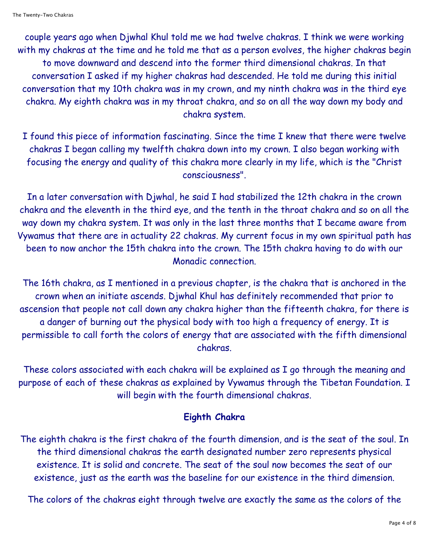couple years ago when Djwhal Khul told me we had twelve chakras. I think we were working with my chakras at the time and he told me that as a person evolves, the higher chakras begin to move downward and descend into the former third dimensional chakras. In that conversation I asked if my higher chakras had descended. He told me during this initial conversation that my 10th chakra was in my crown, and my ninth chakra was in the third eye chakra. My eighth chakra was in my throat chakra, and so on all the way down my body and chakra system.

I found this piece of information fascinating. Since the time I knew that there were twelve chakras I began calling my twelfth chakra down into my crown. I also began working with focusing the energy and quality of this chakra more clearly in my life, which is the "Christ consciousness".

In a later conversation with Djwhal, he said I had stabilized the 12th chakra in the crown chakra and the eleventh in the third eye, and the tenth in the throat chakra and so on all the way down my chakra system. It was only in the last three months that I became aware from Vywamus that there are in actuality 22 chakras. My current focus in my own spiritual path has been to now anchor the 15th chakra into the crown. The 15th chakra having to do with our Monadic connection.

The 16th chakra, as I mentioned in a previous chapter, is the chakra that is anchored in the crown when an initiate ascends. Djwhal Khul has definitely recommended that prior to ascension that people not call down any chakra higher than the fifteenth chakra, for there is a danger of burning out the physical body with too high a frequency of energy. It is permissible to call forth the colors of energy that are associated with the fifth dimensional chakras.

These colors associated with each chakra will be explained as I go through the meaning and purpose of each of these chakras as explained by Vywamus through the Tibetan Foundation. I will begin with the fourth dimensional chakras.

## **Eighth Chakra**

The eighth chakra is the first chakra of the fourth dimension, and is the seat of the soul. In the third dimensional chakras the earth designated number zero represents physical existence. It is solid and concrete. The seat of the soul now becomes the seat of our existence, just as the earth was the baseline for our existence in the third dimension.

The colors of the chakras eight through twelve are exactly the same as the colors of the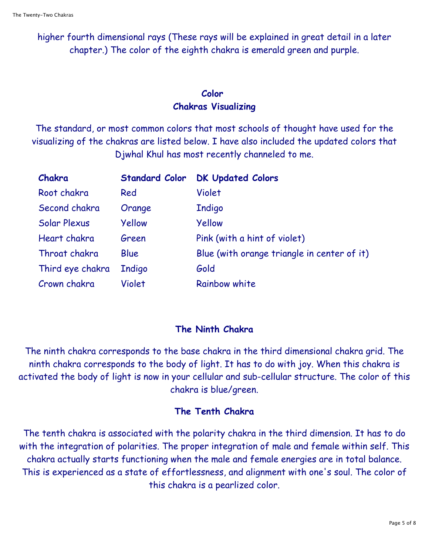higher fourth dimensional rays (These rays will be explained in great detail in a later chapter.) The color of the eighth chakra is emerald green and purple.

## **Color Chakras Visualizing**

The standard, or most common colors that most schools of thought have used for the visualizing of the chakras are listed below. I have also included the updated colors that Djwhal Khul has most recently channeled to me.

| Chakra           | <b>Standard Color</b> | <b>DK Updated Colors</b>                    |
|------------------|-----------------------|---------------------------------------------|
| Root chakra      | Red                   | Violet                                      |
| Second chakra    | Orange                | <b>Indigo</b>                               |
| Solar Plexus     | Yellow                | Yellow                                      |
| Heart chakra     | Green                 | Pink (with a hint of violet)                |
| Throat chakra    | Blue                  | Blue (with orange triangle in center of it) |
| Third eye chakra | <b>Indigo</b>         | Gold                                        |
| Crown chakra     | Violet                | Rainbow white                               |

# **The Ninth Chakra**

The ninth chakra corresponds to the base chakra in the third dimensional chakra grid. The ninth chakra corresponds to the body of light. It has to do with joy. When this chakra is activated the body of light is now in your cellular and sub-cellular structure. The color of this chakra is blue/green.

# **The Tenth Chakra**

The tenth chakra is associated with the polarity chakra in the third dimension. It has to do with the integration of polarities. The proper integration of male and female within self. This chakra actually starts functioning when the male and female energies are in total balance. This is experienced as a state of effortlessness, and alignment with one's soul. The color of this chakra is a pearlized color.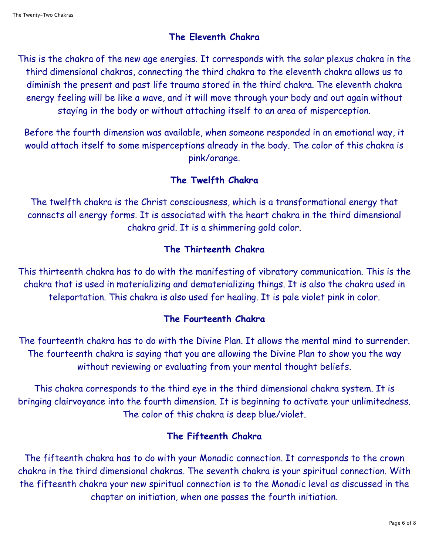## **The Eleventh Chakra**

This is the chakra of the new age energies. It corresponds with the solar plexus chakra in the third dimensional chakras, connecting the third chakra to the eleventh chakra allows us to diminish the present and past life trauma stored in the third chakra. The eleventh chakra energy feeling will be like a wave, and it will move through your body and out again without staying in the body or without attaching itself to an area of misperception.

Before the fourth dimension was available, when someone responded in an emotional way, it would attach itself to some misperceptions already in the body. The color of this chakra is pink/orange.

## **The Twelfth Chakra**

The twelfth chakra is the Christ consciousness, which is a transformational energy that connects all energy forms. It is associated with the heart chakra in the third dimensional chakra grid. It is a shimmering gold color.

## **The Thirteenth Chakra**

This thirteenth chakra has to do with the manifesting of vibratory communication. This is the chakra that is used in materializing and dematerializing things. It is also the chakra used in teleportation. This chakra is also used for healing. It is pale violet pink in color.

# **The Fourteenth Chakra**

The fourteenth chakra has to do with the Divine Plan. It allows the mental mind to surrender. The fourteenth chakra is saying that you are allowing the Divine Plan to show you the way without reviewing or evaluating from your mental thought beliefs.

This chakra corresponds to the third eye in the third dimensional chakra system. It is bringing clairvoyance into the fourth dimension. It is beginning to activate your unlimitedness. The color of this chakra is deep blue/violet.

# **The Fifteenth Chakra**

The fifteenth chakra has to do with your Monadic connection. It corresponds to the crown chakra in the third dimensional chakras. The seventh chakra is your spiritual connection. With the fifteenth chakra your new spiritual connection is to the Monadic level as discussed in the chapter on initiation, when one passes the fourth initiation.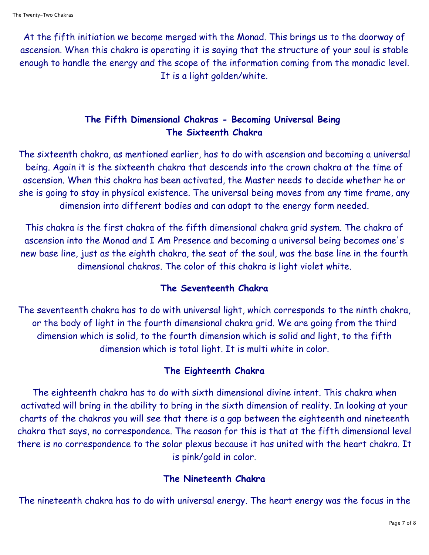At the fifth initiation we become merged with the Monad. This brings us to the doorway of ascension. When this chakra is operating it is saying that the structure of your soul is stable enough to handle the energy and the scope of the information coming from the monadic level. It is a light golden/white.

# **The Fifth Dimensional Chakras - Becoming Universal Being The Sixteenth Chakra**

The sixteenth chakra, as mentioned earlier, has to do with ascension and becoming a universal being. Again it is the sixteenth chakra that descends into the crown chakra at the time of ascension. When this chakra has been activated, the Master needs to decide whether he or she is going to stay in physical existence. The universal being moves from any time frame, any dimension into different bodies and can adapt to the energy form needed.

This chakra is the first chakra of the fifth dimensional chakra grid system. The chakra of ascension into the Monad and I Am Presence and becoming a universal being becomes one's new base line, just as the eighth chakra, the seat of the soul, was the base line in the fourth dimensional chakras. The color of this chakra is light violet white.

## **The Seventeenth Chakra**

The seventeenth chakra has to do with universal light, which corresponds to the ninth chakra, or the body of light in the fourth dimensional chakra grid. We are going from the third dimension which is solid, to the fourth dimension which is solid and light, to the fifth dimension which is total light. It is multi white in color.

## **The Eighteenth Chakra**

The eighteenth chakra has to do with sixth dimensional divine intent. This chakra when activated will bring in the ability to bring in the sixth dimension of reality. In looking at your charts of the chakras you will see that there is a gap between the eighteenth and nineteenth chakra that says, no correspondence. The reason for this is that at the fifth dimensional level there is no correspondence to the solar plexus because it has united with the heart chakra. It is pink/gold in color.

## **The Nineteenth Chakra**

The nineteenth chakra has to do with universal energy. The heart energy was the focus in the